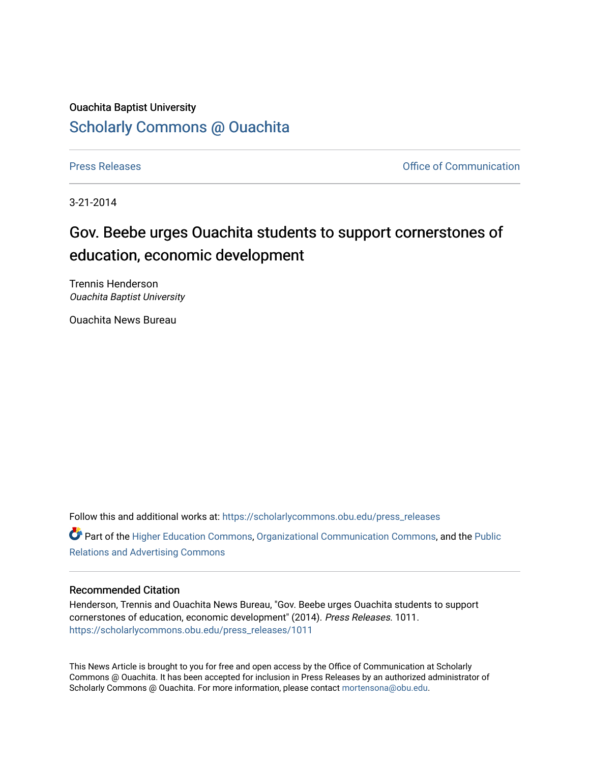## Ouachita Baptist University

## [Scholarly Commons @ Ouachita](https://scholarlycommons.obu.edu/)

[Press Releases](https://scholarlycommons.obu.edu/press_releases) **Press Releases Communication** 

3-21-2014

## Gov. Beebe urges Ouachita students to support cornerstones of education, economic development

Trennis Henderson Ouachita Baptist University

Ouachita News Bureau

Follow this and additional works at: [https://scholarlycommons.obu.edu/press\\_releases](https://scholarlycommons.obu.edu/press_releases?utm_source=scholarlycommons.obu.edu%2Fpress_releases%2F1011&utm_medium=PDF&utm_campaign=PDFCoverPages)

Part of the [Higher Education Commons,](http://network.bepress.com/hgg/discipline/1245?utm_source=scholarlycommons.obu.edu%2Fpress_releases%2F1011&utm_medium=PDF&utm_campaign=PDFCoverPages) [Organizational Communication Commons,](http://network.bepress.com/hgg/discipline/335?utm_source=scholarlycommons.obu.edu%2Fpress_releases%2F1011&utm_medium=PDF&utm_campaign=PDFCoverPages) and the [Public](http://network.bepress.com/hgg/discipline/336?utm_source=scholarlycommons.obu.edu%2Fpress_releases%2F1011&utm_medium=PDF&utm_campaign=PDFCoverPages) [Relations and Advertising Commons](http://network.bepress.com/hgg/discipline/336?utm_source=scholarlycommons.obu.edu%2Fpress_releases%2F1011&utm_medium=PDF&utm_campaign=PDFCoverPages) 

## Recommended Citation

Henderson, Trennis and Ouachita News Bureau, "Gov. Beebe urges Ouachita students to support cornerstones of education, economic development" (2014). Press Releases. 1011. [https://scholarlycommons.obu.edu/press\\_releases/1011](https://scholarlycommons.obu.edu/press_releases/1011?utm_source=scholarlycommons.obu.edu%2Fpress_releases%2F1011&utm_medium=PDF&utm_campaign=PDFCoverPages) 

This News Article is brought to you for free and open access by the Office of Communication at Scholarly Commons @ Ouachita. It has been accepted for inclusion in Press Releases by an authorized administrator of Scholarly Commons @ Ouachita. For more information, please contact [mortensona@obu.edu](mailto:mortensona@obu.edu).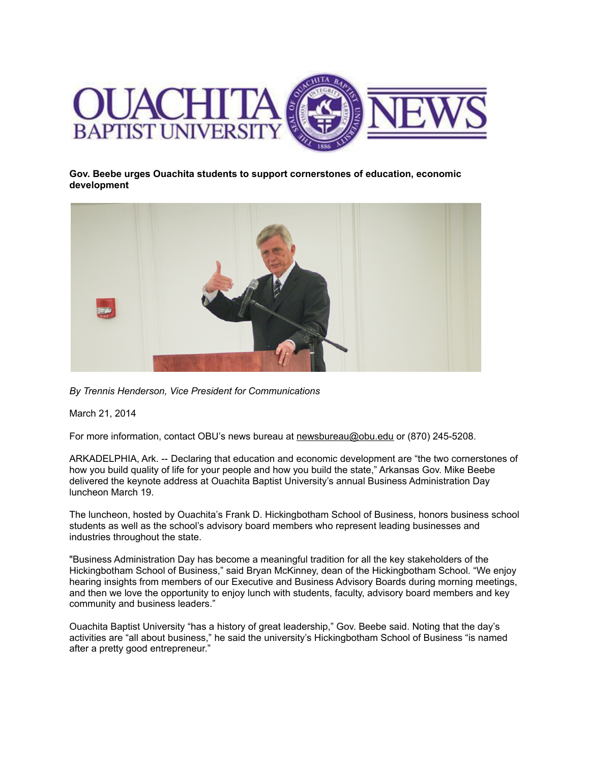

**Gov. Beebe urges Ouachita students to support cornerstones of education, economic development**



*By Trennis Henderson, Vice President for Communications*

March 21, 2014

For more information, contact OBU's news bureau at [newsbureau@obu.edu](mailto:newsbureau@obu.edu) or (870) 245-5208.

ARKADELPHIA, Ark. -- Declaring that education and economic development are "the two cornerstones of how you build quality of life for your people and how you build the state," Arkansas Gov. Mike Beebe delivered the keynote address at Ouachita Baptist University's annual Business Administration Day luncheon March 19.

The luncheon, hosted by Ouachita's Frank D. Hickingbotham School of Business, honors business school students as well as the school's advisory board members who represent leading businesses and industries throughout the state.

"Business Administration Day has become a meaningful tradition for all the key stakeholders of the Hickingbotham School of Business," said Bryan McKinney, dean of the Hickingbotham School. "We enjoy hearing insights from members of our Executive and Business Advisory Boards during morning meetings, and then we love the opportunity to enjoy lunch with students, faculty, advisory board members and key community and business leaders."

Ouachita Baptist University "has a history of great leadership," Gov. Beebe said. Noting that the day's activities are "all about business," he said the university's Hickingbotham School of Business "is named after a pretty good entrepreneur."